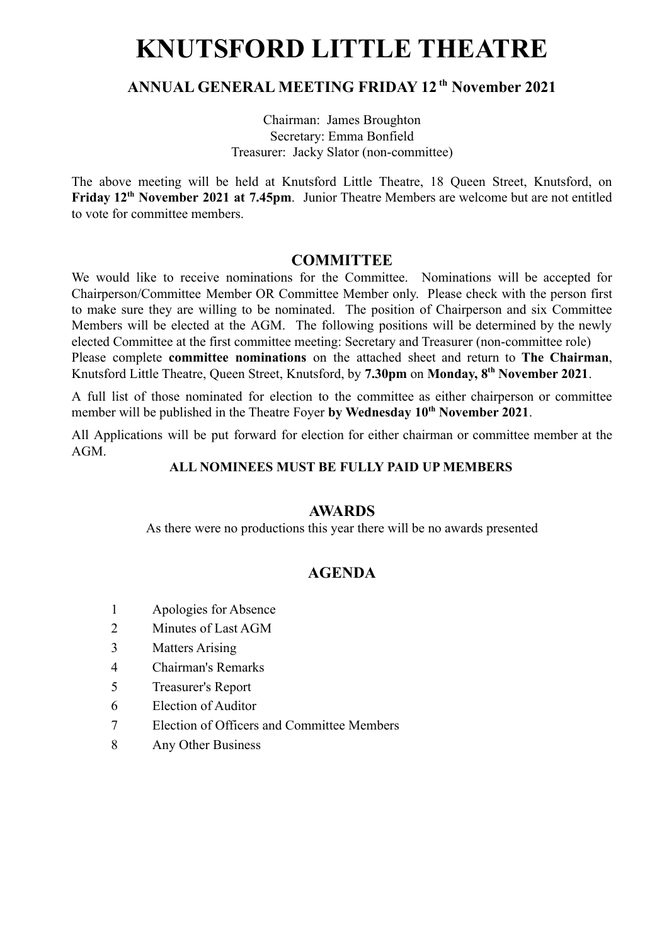# **KNUTSFORD LITTLE THEATRE**

#### **ANNUAL GENERAL MEETING FRIDAY 12 th November 2021**

Chairman: James Broughton Secretary: Emma Bonfield Treasurer: Jacky Slator (non-committee)

The above meeting will be held at Knutsford Little Theatre, 18 Queen Street, Knutsford, on **Friday 12th November 2021 at 7.45pm**. Junior Theatre Members are welcome but are not entitled to vote for committee members.

#### **COMMITTEE**

We would like to receive nominations for the Committee. Nominations will be accepted for Chairperson/Committee Member OR Committee Member only. Please check with the person first to make sure they are willing to be nominated. The position of Chairperson and six Committee Members will be elected at the AGM. The following positions will be determined by the newly elected Committee at the first committee meeting: Secretary and Treasurer (non-committee role) Please complete **committee nominations** on the attached sheet and return to **The Chairman**, Knutsford Little Theatre, Queen Street, Knutsford, by **7.30pm** on **Monday, 8th November 2021**.

A full list of those nominated for election to the committee as either chairperson or committee member will be published in the Theatre Foyer **by Wednesday 10th November 2021**.

All Applications will be put forward for election for either chairman or committee member at the AGM.

#### **ALL NOMINEES MUST BE FULLY PAID UP MEMBERS**

#### **AWARDS**

As there were no productions this year there will be no awards presented

### **AGENDA**

- 1 Apologies for Absence
- 2 Minutes of Last AGM
- 3 Matters Arising
- 4 Chairman's Remarks
- 5 Treasurer's Report
- 6 Election of Auditor
- 7 Election of Officers and Committee Members
- 8 Any Other Business